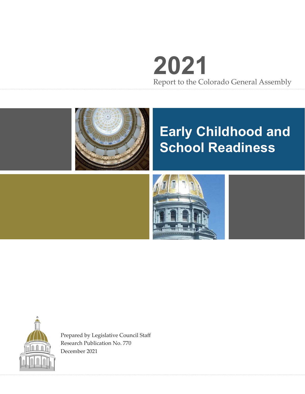# **2021** Report to the Colorado General Assembly



# **Early Childhood and School Readiness**





Prepared by Legislative Council Staff Research Publication No. 770 December 2021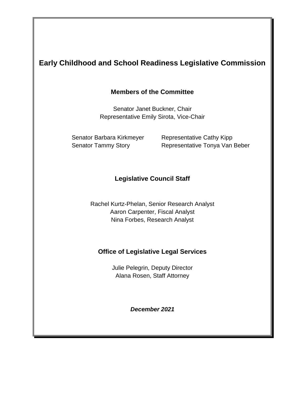## **Early Childhood and School Readiness Legislative Commission**

#### **Members of the Committee**

Senator Janet Buckner, Chair Representative Emily Sirota, Vice-Chair

Senator Barbara Kirkmeyer Representative Cathy Kipp

Senator Tammy Story Representative Tonya Van Beber

#### **Legislative Council Staff**

Rachel Kurtz-Phelan, Senior Research Analyst Aaron Carpenter, Fiscal Analyst Nina Forbes, Research Analyst

#### **Office of Legislative Legal Services**

Julie Pelegrin, Deputy Director Alana Rosen, Staff Attorney

*December 2021*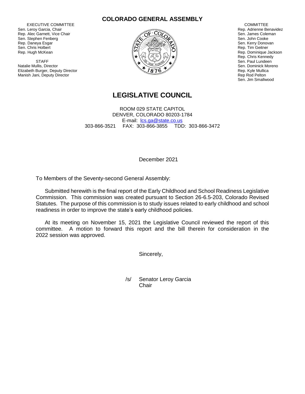EXECUTIVE COMMITTEE Sen. Leroy Garcia, Chair Rep. Alec Garnett, Vice Chair Sen. Stephen Fenberg Rep. Daneya Esgar Sen. Chris Holbert Rep. Hugh McKean

**STAFF** Natalie Mullis, Director Elizabeth Burger, Deputy Director Manish Jani, Deputy Director





 COMMITTEE Rep. Adrienne Benavidez Sen. James Coleman Sen. John Cooke Sen. Kerry Donovan Rep. Tim Geitner Rep. Dominique Jackson Rep. Chris Kennedy Sen. Paul Lundeen Sen. Dominick Moreno Rep. Kyle Mullica Rep Rod Pelton Sen. Jim Smallwood

#### **LEGISLATIVE COUNCIL**

ROOM 029 STATE CAPITOL DENVER, COLORADO 80203-1784 E-mail: [lcs.ga@state.co.us](mailto:lcs.ga@state.co.us) 303-866-3521 FAX: 303-866-3855 TDD: 303-866-3472

December 2021

To Members of the Seventy-second General Assembly:

Submitted herewith is the final report of the Early Childhood and School Readiness Legislative Commission. This commission was created pursuant to Section 26-6.5-203, Colorado Revised Statutes. The purpose of this commission is to study issues related to early childhood and school readiness in order to improve the state's early childhood policies.

At its meeting on November 15, 2021 the Legislative Council reviewed the report of this committee. A motion to forward this report and the bill therein for consideration in the 2022 session was approved.

Sincerely,

/s/ Senator Leroy Garcia **Chair**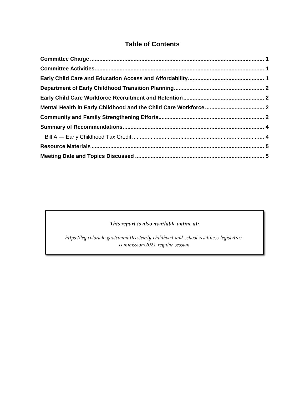### **Table of Contents**

#### *This report is also available online at:*

<span id="page-3-0"></span>*https://leg.colorado.gov/committees/early-childhood-and-school-readiness-legislativecommission/2021-regular-session*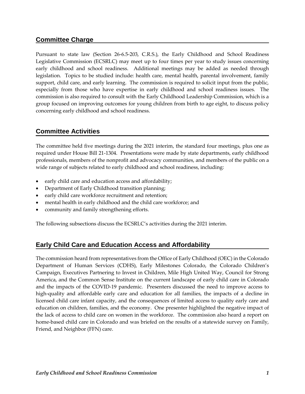#### **Committee Charge**

Pursuant to state law (Section 26-6.5-203, C.R.S.), the Early Childhood and School Readiness Legislative Commission (ECSRLC) may meet up to four times per year to study issues concerning early childhood and school readiness. Additional meetings may be added as needed through legislation. Topics to be studied include: health care, mental health, parental involvement, family support, child care, and early learning. The commission is required to solicit input from the public, especially from those who have expertise in early childhood and school readiness issues. The commission is also required to consult with the Early Childhood Leadership Commission, which is a group focused on improving outcomes for young children from birth to age eight, to discuss policy concerning early childhood and school readiness.

#### <span id="page-4-0"></span>**Committee Activities**

The committee held five meetings during the 2021 interim, the standard four meetings, plus one as required under House Bill 21-1304. Presentations were made by state departments, early childhood professionals, members of the nonprofit and advocacy communities, and members of the public on a wide range of subjects related to early childhood and school readiness, including:

- early child care and education access and affordability;
- Department of Early Childhood transition planning;
- early child care workforce recruitment and retention;
- mental health in early childhood and the child care workforce; and
- community and family strengthening efforts.

The following subsections discuss the ECSRLC's activities during the 2021 interim.

#### <span id="page-4-1"></span>**Early Child Care and Education Access and Affordability**

The commission heard from representatives from the Office of Early Childhood (OEC) in the Colorado Department of Human Services (CDHS), Early Milestones Colorado, the Colorado Children's Campaign, Executives Partnering to Invest in Children, Mile High United Way, Council for Strong America, and the Common Sense Institute on the current landscape of early child care in Colorado and the impacts of the COVID-19 pandemic. Presenters discussed the need to improve access to high-quality and affordable early care and education for all families, the impacts of a decline in licensed child care infant capacity, and the consequences of limited access to quality early care and education on children, families, and the economy. One presenter highlighted the negative impact of the lack of access to child care on women in the workforce. The commission also heard a report on home-based child care in Colorado and was briefed on the results of a statewide survey on Family, Friend, and Neighbor (FFN) care.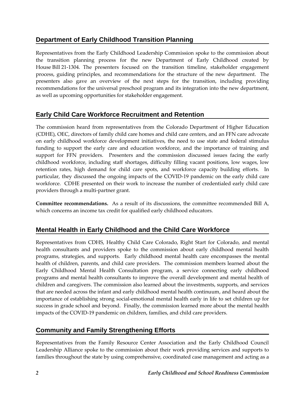### <span id="page-5-0"></span>**Department of Early Childhood Transition Planning**

Representatives from the Early Childhood Leadership Commission spoke to the commission about the transition planning process for the new Department of Early Childhood created by House Bill 21-1304. The presenters focused on the transition timeline, stakeholder engagement process, guiding principles, and recommendations for the structure of the new department. The presenters also gave an overview of the next steps for the transition, including providing recommendations for the universal preschool program and its integration into the new department, as well as upcoming opportunities for stakeholder engagement.

### <span id="page-5-1"></span>**Early Child Care Workforce Recruitment and Retention**

The commission heard from representatives from the Colorado Department of Higher Education (CDHE), OEC, directors of family child care homes and child care centers, and an FFN care advocate on early childhood workforce development initiatives, the need to use state and federal stimulus funding to support the early care and education workforce, and the importance of training and support for FFN providers. Presenters and the commission discussed issues facing the early childhood workforce, including staff shortages, difficulty filling vacant positions, low wages, low retention rates, high demand for child care spots, and workforce capacity building efforts. In particular, they discussed the ongoing impacts of the COVID-19 pandemic on the early child care workforce. CDHE presented on their work to increase the number of credentialed early child care providers through a multi-partner grant.

**Committee recommendations.** As a result of its discussions, the committee recommended Bill A, which concerns an income tax credit for qualified early childhood educators.

#### <span id="page-5-2"></span>**Mental Health in Early Childhood and the Child Care Workforce**

Representatives from CDHS, Healthy Child Care Colorado, Right Start for Colorado, and mental health consultants and providers spoke to the commission about early childhood mental health programs, strategies, and supports. Early childhood mental health care encompasses the mental health of children, parents, and child care providers. The commission members learned about the Early Childhood Mental Health Consultation program, a service connecting early childhood programs and mental health consultants to improve the overall development and mental health of children and caregivers. The commission also learned about the investments, supports, and services that are needed across the infant and early childhood mental health continuum, and heard about the importance of establishing strong social-emotional mental health early in life to set children up for success in grade school and beyond. Finally, the commission learned more about the mental health impacts of the COVID-19 pandemic on children, families, and child care providers.

#### <span id="page-5-3"></span>**Community and Family Strengthening Efforts**

Representatives from the Family Resource Center Association and the Early Childhood Council Leadership Alliance spoke to the commission about their work providing services and supports to families throughout the state by using comprehensive, coordinated case management and acting as a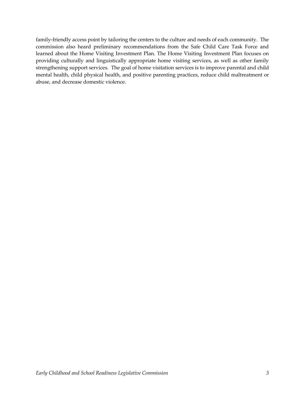<span id="page-6-0"></span>family-friendly access point by tailoring the centers to the culture and needs of each community. The commission also heard preliminary recommendations from the Safe Child Care Task Force and learned about the Home Visiting Investment Plan. The Home Visiting Investment Plan focuses on providing culturally and linguistically appropriate home visiting services, as well as other family strengthening support services. The goal of home visitation services is to improve parental and child mental health, child physical health, and positive parenting practices, reduce child maltreatment or abuse, and decrease domestic violence.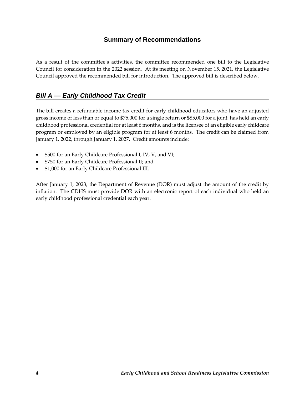#### **Summary of Recommendations**

As a result of the committee's activities, the committee recommended one bill to the Legislative Council for consideration in the 2022 session. At its meeting on November 15, 2021, the Legislative Council approved the recommended bill for introduction. The approved bill is described below.

### <span id="page-7-0"></span>*Bill A — Early Childhood Tax Credit*

The bill creates a refundable income tax credit for early childhood educators who have an adjusted gross income of less than or equal to \$75,000 for a single return or \$85,000 for a joint, has held an early childhood professional credential for at least 6 months, and is the licensee of an eligible early childcare program or employed by an eligible program for at least 6 months. The credit can be claimed from January 1, 2022, through January 1, 2027. Credit amounts include:

- \$500 for an Early Childcare Professional I, IV, V, and VI;
- \$750 for an Early Childcare Professional II; and
- \$1,000 for an Early Childcare Professional III.

After January 1, 2023, the Department of Revenue (DOR) must adjust the amount of the credit by inflation. The CDHS must provide DOR with an electronic report of each individual who held an early childhood professional credential each year.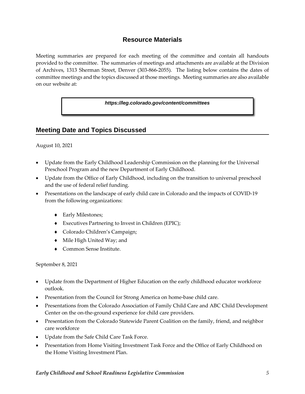#### **Resource Materials**

<span id="page-8-0"></span>Meeting summaries are prepared for each meeting of the committee and contain all handouts provided to the committee. The summaries of meetings and attachments are available at the Division of Archives, 1313 Sherman Street, Denver (303-866-2055). The listing below contains the dates of committee meetings and the topics discussed at those meetings. Meeting summaries are also available on our website at:

*https://leg.colorado.gov/content/committees*

#### <span id="page-8-1"></span>**Meeting Date and Topics Discussed**

August 10, 2021

- Update from the Early Childhood Leadership Commission on the planning for the Universal Preschool Program and the new Department of Early Childhood.
- Update from the Office of Early Childhood, including on the transition to universal preschool and the use of federal relief funding.
- Presentations on the landscape of early child care in Colorado and the impacts of COVID-19 from the following organizations:
	- Early Milestones;
	- Executives Partnering to Invest in Children (EPIC);
	- Colorado Children's Campaign;
	- $\bullet$  Mile High United Way; and
	- Common Sense Institute.

September 8, 2021

- Update from the Department of Higher Education on the early childhood educator workforce outlook.
- Presentation from the Council for Strong America on home-base child care.
- Presentations from the Colorado Association of Family Child Care and ABC Child Development Center on the on-the-ground experience for child care providers.
- Presentation from the Colorado Statewide Parent Coalition on the family, friend, and neighbor care workforce
- Update from the Safe Child Care Task Force.
- Presentation from Home Visiting Investment Task Force and the Office of Early Childhood on the Home Visiting Investment Plan.